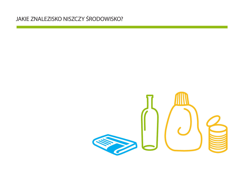#### JAKIE ZNALEZISKO NISZCZY ŚRODOWISKO?

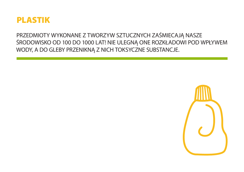

PRZEDMIOTY WYKONANE Z TWORZYW SZTUCZNYCH ZAŚMIECAJĄ NASZE ŚRODOWISKO OD 100 DO 1000 LAT! NIE ULEGNĄ ONE ROZKŁADOWI POD WPŁYWEM WODY, A DO GLEBY PRZENIKNĄ Z NICH TOKSYCZNE SUBSTANCJE.

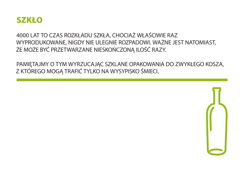

4000 LAT TO CZAS ROZKŁADU SZKŁA, CHOCIAŻ WŁAŚCIWIE RAZ WYPRODUKOWANE, NIGDY NIE ULEGNIE ROZPADOWI. WAŻNE JEST NATOMIAST, ŻE MOŻE BYĆ PRZETWARZANE NIESKOŃCZONĄ ILOŚĆ RAZY.

PAMIĘTAJMY O TYM WYRZUCAJĄC SZKLANE OPAKOWANIA DO ZWYKŁEGO KOSZA, Z KTÓREGO MOGĄ TRAFIĆ TYLKO NA WYSYPISKO ŚMIECI.

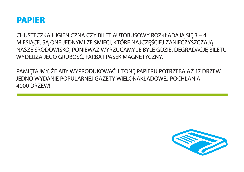#### **PAPIER**

CHUSTECZKA HIGIENICZNA CZY BILET AUTOBUSOWY ROZKŁADAJĄ SIĘ 3 - 4 MIESIĄCE. SĄ ONE JEDNYMI ZE ŚMIECI, KTÓRE NAJCZĘŚCIEJ ZANIECZYSZCZAJĄ NASZE ŚRODOWISKO, PONIEWAŻ WYRZUCAMY JE BYLE GDZIE. DEGRADACJĘ BILETU WYDŁUŻA JEGO GRUBOŚĆ, FARBA I PASEK MAGNETYCZNY.

PAMIĘTAJMY, ŻE ABY WYPRODUKOWAĆ 1 TONĘ PAPIERU POTRZEBA AŻ 17 DRZEW. JEDNO WYDANIE POPULARNEJ GAZETY WIELONAKŁADOWEJ POCHŁANIA **4000 DRZEW!** 

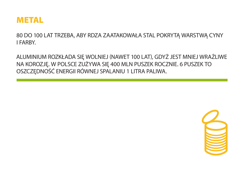

80 DO 100 LAT TRZEBA, ABY RDZA ZAATAKOWAŁA STAL POKRYTĄ WARSTWĄ CYNY **I FARBY.** 

ALUMINIUM ROZKŁADA SIĘ WOLNIEJ (NAWET 100 LAT), GDYŻ JEST MNIEJ WRAŻLIWE NA KOROZJĘ. W POLSCE ZUŻYWA SIĘ 400 MLN PUSZEK ROCZNIE. 6 PUSZEK TO OSZCZĘDNOŚĆ ENERGII RÓWNEJ SPALANIU 1 LITRA PALIWA.

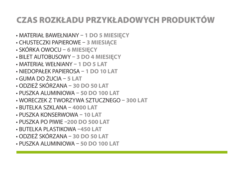# CZAS ROZKŁADU PRZYKŁADOWYCH PRODUKTÓW

- MATERIAŁ BAWEŁNIANY **1 DO 5 MIESIĘCY**
- CHUSTECZKI PAPIEROWE **3 MIESIĄCE**
- SKÓRKA OWOCU **6 MIESIĘCY**
- BILET AUTOBUSOWY **3 DO 4 MIESIĘCY**
- MATERIAŁ WEŁNIANY **1 DO 5 LAT**
- NIEDOPAŁEK PAPIEROSA **1 DO 10 LAT**
- GUMA DO ŻUCIA **5 LAT**
- ODZIEŻ SKÓRZANA **30 DO 50 LAT**
- PUSZKA ALUMINIOWA **50 DO 100 LAT**
- WORECZEK Z TWORZYWA SZTUCZNEGO **300 LAT**
- BUTELKA SZKLANA **4000 LAT**
- PUSZKA KONSERWOWA **10 LAT**
- PUSZKA PO PIWIE –**200 DO 500 LAT**
- BUTELKA PLASTIKOWA –**450 LAT**
- ODZIEŻ SKÓRZANA – **30 DO 50 LAT**
- PUSZKA ALUMINIOWA – **50 DO 100 LAT**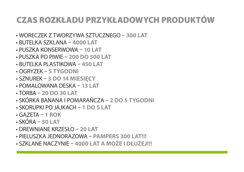# CZAS ROZKŁADU PRZYKŁADOWYCH PRODUKTÓW

- WORECZEK Z TWORZYWA SZTUCZNEGO **300 LAT**
- BUTELKA SZKLANA **4000 LAT**
- PUSZKA KONSERWOWA **10 LAT**
- PUSZKA PO PIWIE **200 DO 500 LAT**
- BUTELKA PLASTIKOWA **450 LAT**
- OGRYZEK **5 TYGODNI**
- SZNUREK **3 DO 14 MIESIĘCY**
- POMALOWANA DESKA **13 LAT**
- TORBA **20 DO 30 LAT**
- SKÓRKA BANANA I POMARAŃCZA **2 DO 5 TYGODNI**
- SKORUPKI PO JAJKACH **1 DO 5 LAT**
- GAZETA **1 ROK**
- SKÓRA **50 LAT**
- DREWNIANE KRZESŁO **20 LAT**
- PIELUSZKA JEDNORAZOWA **PAMPERS 300 LAT!!!**
- SZKLANE NACZYNIE **4000 LAT A MOŻE I DŁUŻEJ!!!**